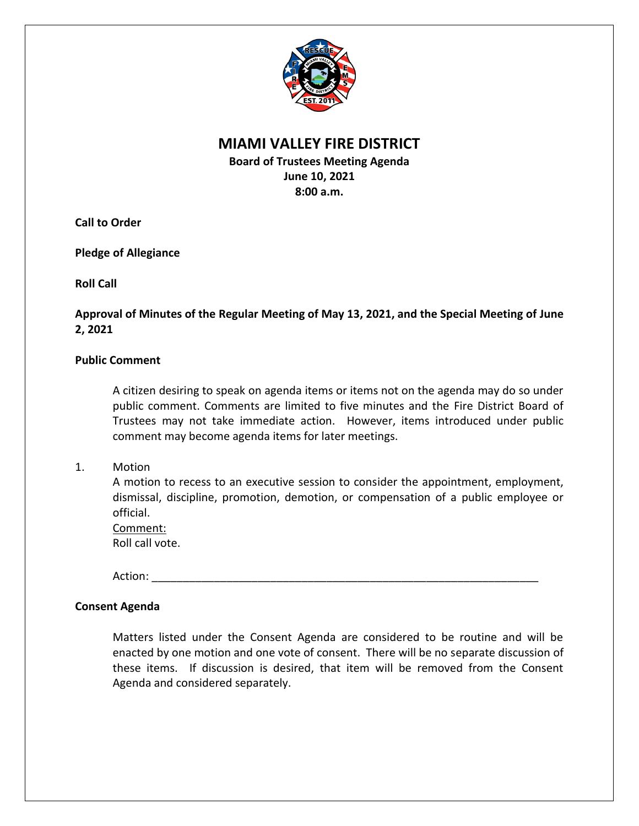

# **MIAMI VALLEY FIRE DISTRICT**

**Board of Trustees Meeting Agenda June 10, 2021 8:00 a.m.**

**Call to Order**

**Pledge of Allegiance**

**Roll Call**

**Approval of Minutes of the Regular Meeting of May 13, 2021, and the Special Meeting of June 2, 2021**

## **Public Comment**

A citizen desiring to speak on agenda items or items not on the agenda may do so under public comment. Comments are limited to five minutes and the Fire District Board of Trustees may not take immediate action. However, items introduced under public comment may become agenda items for later meetings.

1. Motion

A motion to recess to an executive session to consider the appointment, employment, dismissal, discipline, promotion, demotion, or compensation of a public employee or official.

Comment: Roll call vote.

Action: \_\_\_\_\_\_\_\_\_\_\_\_\_\_\_\_\_\_\_\_\_\_\_\_\_\_\_\_\_\_\_\_\_\_\_\_\_\_\_\_\_\_\_\_\_\_\_\_\_\_\_\_\_\_\_\_\_\_\_\_\_\_

## **Consent Agenda**

Matters listed under the Consent Agenda are considered to be routine and will be enacted by one motion and one vote of consent. There will be no separate discussion of these items. If discussion is desired, that item will be removed from the Consent Agenda and considered separately.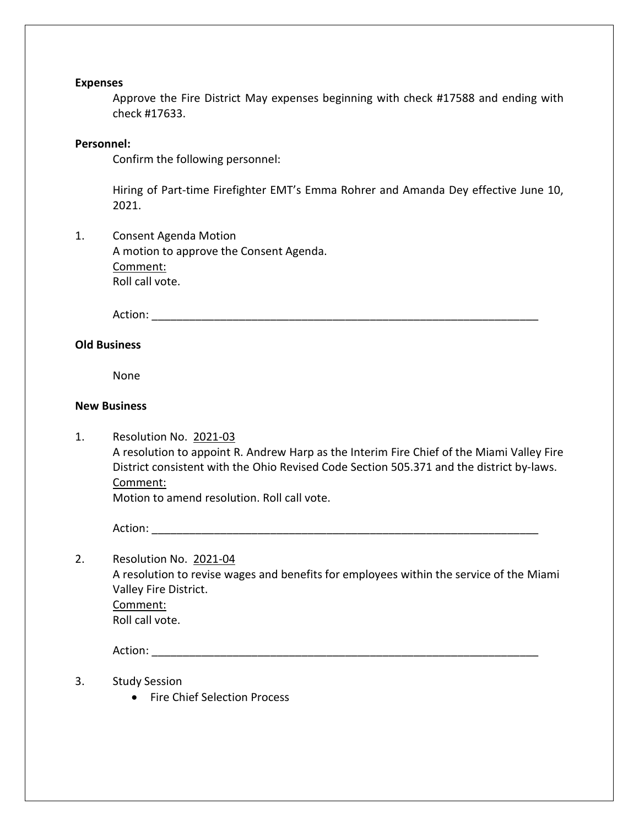#### **Expenses**

Approve the Fire District May expenses beginning with check #17588 and ending with check #17633.

#### **Personnel:**

Confirm the following personnel:

Hiring of Part-time Firefighter EMT's Emma Rohrer and Amanda Dey effective June 10, 2021.

1. Consent Agenda Motion A motion to approve the Consent Agenda. Comment: Roll call vote.

Action: \_\_\_\_\_\_\_\_\_\_\_\_\_\_\_\_\_\_\_\_\_\_\_\_\_\_\_\_\_\_\_\_\_\_\_\_\_\_\_\_\_\_\_\_\_\_\_\_\_\_\_\_\_\_\_\_\_\_\_\_\_\_

### **Old Business**

None

#### **New Business**

1. Resolution No. 2021-03 A resolution to appoint R. Andrew Harp as the Interim Fire Chief of the Miami Valley Fire District consistent with the Ohio Revised Code Section 505.371 and the district by-laws. Comment:

Motion to amend resolution. Roll call vote.

Action: \_\_\_\_\_\_\_\_\_\_\_\_\_\_\_\_\_\_\_\_\_\_\_\_\_\_\_\_\_\_\_\_\_\_\_\_\_\_\_\_\_\_\_\_\_\_\_\_\_\_\_\_\_\_\_\_\_\_\_\_\_\_

2. Resolution No. 2021-04 A resolution to revise wages and benefits for employees within the service of the Miami Valley Fire District. Comment: Roll call vote.

Action: \_\_\_\_\_\_\_\_\_\_\_\_\_\_\_\_\_\_\_\_\_\_\_\_\_\_\_\_\_\_\_\_\_\_\_\_\_\_\_\_\_\_\_\_\_\_\_\_\_\_\_\_\_\_\_\_\_\_\_\_\_\_

- 3. Study Session
	- Fire Chief Selection Process